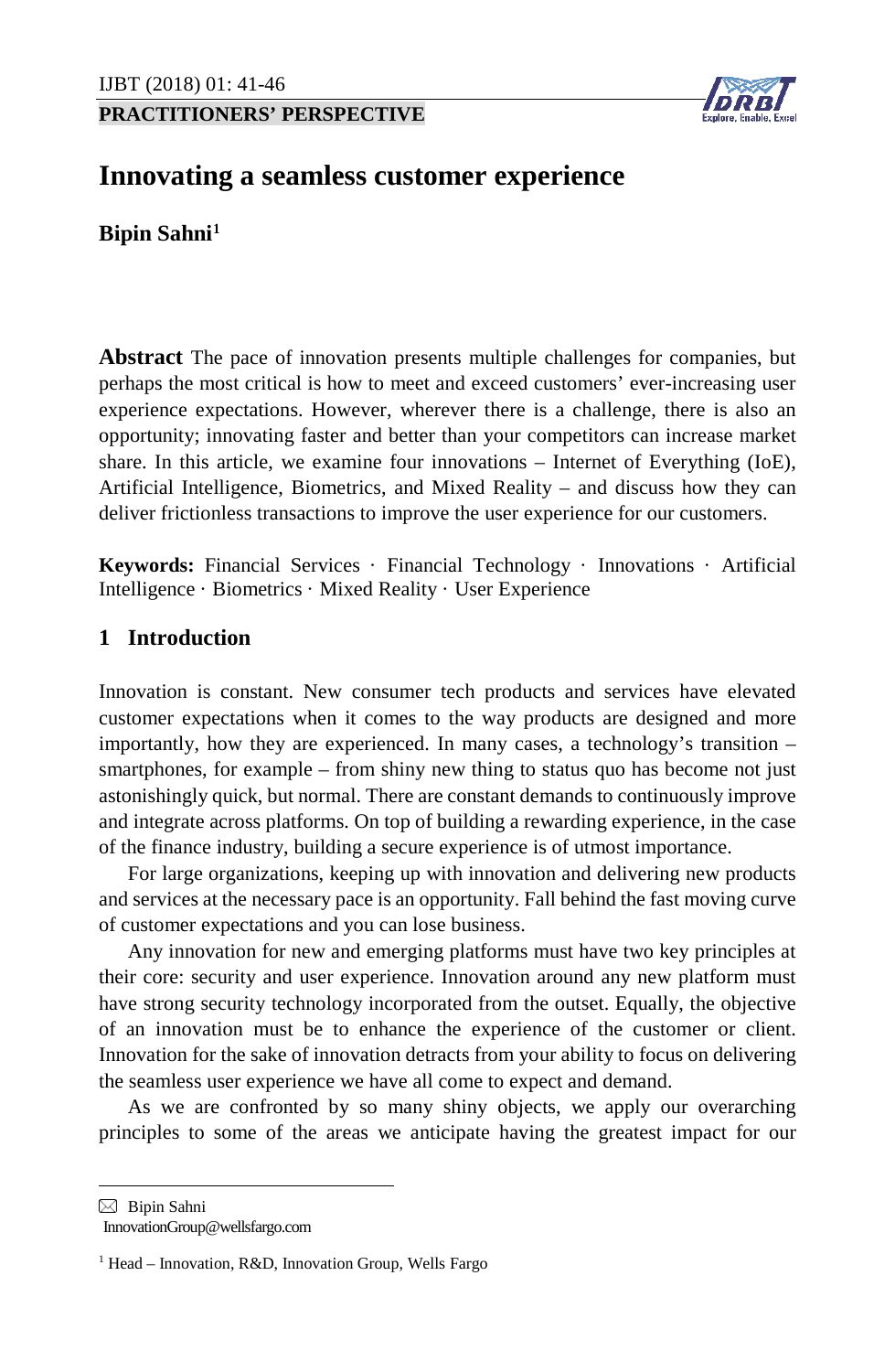**PRACTITIONERS' PERSPECTIVE**



# **Innovating a seamless customer experience**

**Bipin Sahni[1](#page-0-0)**

**Abstract** The pace of innovation presents multiple challenges for companies, but perhaps the most critical is how to meet and exceed customers' ever-increasing user experience expectations. However, wherever there is a challenge, there is also an opportunity; innovating faster and better than your competitors can increase market share. In this article, we examine four innovations – Internet of Everything (IoE), Artificial Intelligence, Biometrics, and Mixed Reality – and discuss how they can deliver frictionless transactions to improve the user experience for our customers.

**Keywords:** Financial Services · Financial Technology · Innovations · Artificial Intelligence · Biometrics · Mixed Reality · User Experience

## **1 Introduction**

Innovation is constant. New consumer tech products and services have elevated customer expectations when it comes to the way products are designed and more importantly, how they are experienced. In many cases, a technology's transition – smartphones, for example – from shiny new thing to status quo has become not just astonishingly quick, but normal. There are constant demands to continuously improve and integrate across platforms. On top of building a rewarding experience, in the case of the finance industry, building a secure experience is of utmost importance.

For large organizations, keeping up with innovation and delivering new products and services at the necessary pace is an opportunity. Fall behind the fast moving curve of customer expectations and you can lose business.

Any innovation for new and emerging platforms must have two key principles at their core: security and user experience. Innovation around any new platform must have strong security technology incorporated from the outset. Equally, the objective of an innovation must be to enhance the experience of the customer or client. Innovation for the sake of innovation detracts from your ability to focus on delivering the seamless user experience we have all come to expect and demand.

As we are confronted by so many shiny objects, we apply our overarching principles to some of the areas we anticipate having the greatest impact for our

<span id="page-0-0"></span> $\boxtimes$  Bipin Sahni

 $\overline{a}$ 

InnovationGroup@wellsfargo.com

<sup>&</sup>lt;sup>1</sup> Head – Innovation, R&D, Innovation Group, Wells Fargo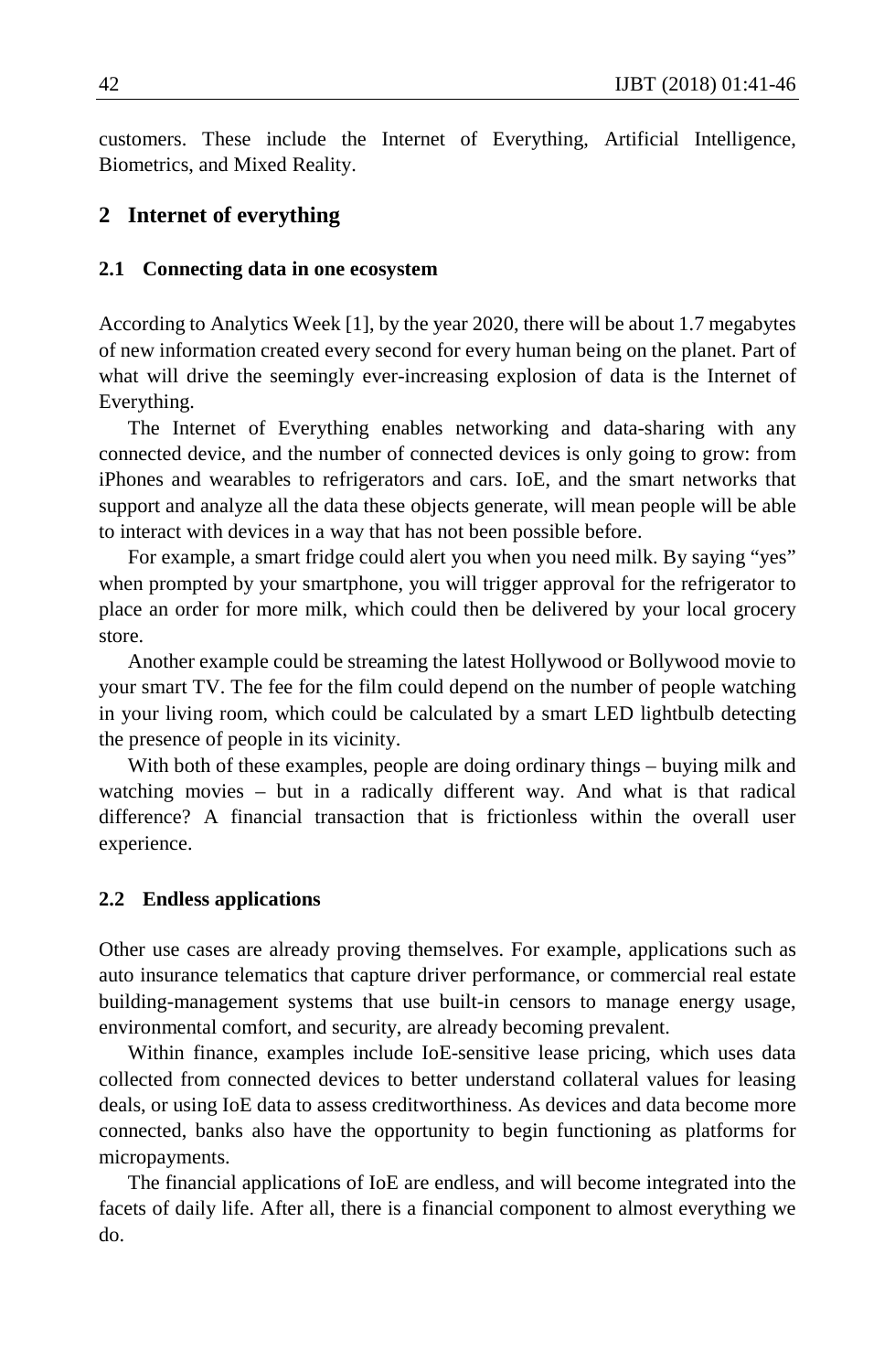customers. These include the Internet of Everything, Artificial Intelligence, Biometrics, and Mixed Reality.

## **2 Internet of everything**

#### **2.1 Connecting data in one ecosystem**

According to Analytics Week [1], by the year 2020, there will be about 1.7 megabytes of new information created every second for every human being on the planet. Part of what will drive the seemingly ever-increasing explosion of data is the Internet of Everything.

The Internet of Everything enables networking and data-sharing with any connected device, and the number of connected devices is only going to grow: from iPhones and wearables to refrigerators and cars. IoE, and the smart networks that support and analyze all the data these objects generate, will mean people will be able to interact with devices in a way that has not been possible before.

For example, a smart fridge could alert you when you need milk. By saying "yes" when prompted by your smartphone, you will trigger approval for the refrigerator to place an order for more milk, which could then be delivered by your local grocery store.

Another example could be streaming the latest Hollywood or Bollywood movie to your smart TV. The fee for the film could depend on the number of people watching in your living room, which could be calculated by a smart LED lightbulb detecting the presence of people in its vicinity.

With both of these examples, people are doing ordinary things – buying milk and watching movies – but in a radically different way. And what is that radical difference? A financial transaction that is frictionless within the overall user experience.

#### **2.2 Endless applications**

Other use cases are already proving themselves. For example, applications such as auto insurance telematics that capture driver performance, or commercial real estate building-management systems that use built-in censors to manage energy usage, environmental comfort, and security, are already becoming prevalent.

Within finance, examples include IoE-sensitive lease pricing, which uses data collected from connected devices to better understand collateral values for leasing deals, or using IoE data to assess creditworthiness. As devices and data become more connected, banks also have the opportunity to begin functioning as platforms for micropayments.

The financial applications of IoE are endless, and will become integrated into the facets of daily life. After all, there is a financial component to almost everything we do.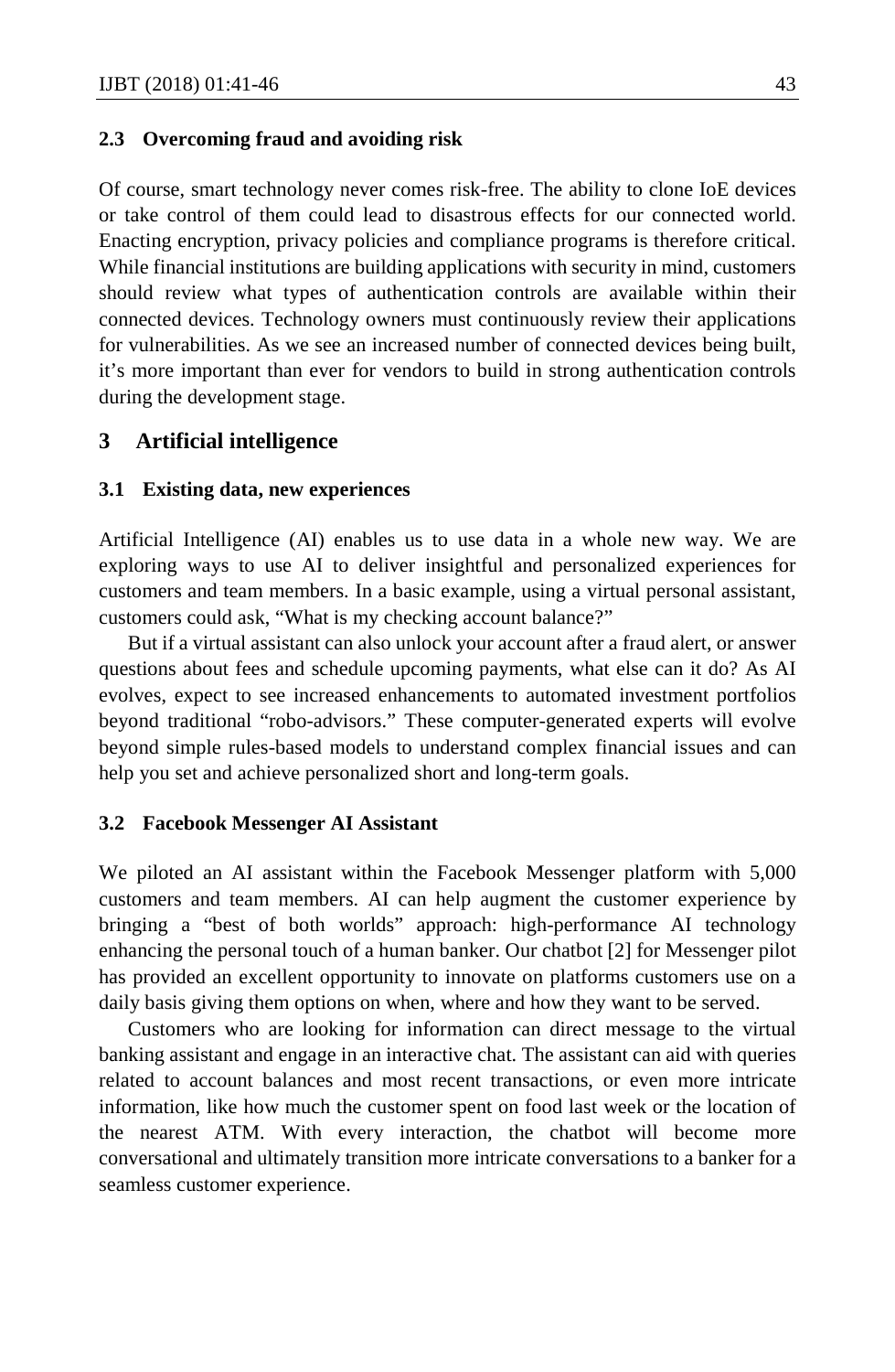### **2.3 Overcoming fraud and avoiding risk**

Of course, smart technology never comes risk-free. The ability to clone IoE devices or take control of them could lead to disastrous effects for our connected world. Enacting encryption, privacy policies and compliance programs is therefore critical. While financial institutions are building applications with security in mind, customers should review what types of authentication controls are available within their connected devices. Technology owners must continuously review their applications for vulnerabilities. As we see an increased number of connected devices being built, it's more important than ever for vendors to build in strong authentication controls during the development stage.

## **3 Artificial intelligence**

#### **3.1 Existing data, new experiences**

Artificial Intelligence (AI) enables us to use data in a whole new way. We are exploring ways to use AI to deliver insightful and personalized experiences for customers and team members. In a basic example, using a virtual personal assistant, customers could ask, "What is my checking account balance?"

But if a virtual assistant can also unlock your account after a fraud alert, or answer questions about fees and schedule upcoming payments, what else can it do? As AI evolves, expect to see increased enhancements to automated investment portfolios beyond traditional "robo-advisors." These computer-generated experts will evolve beyond simple rules-based models to understand complex financial issues and can help you set and achieve personalized short and long-term goals.

#### **3.2 Facebook Messenger AI Assistant**

We piloted an AI assistant within the Facebook Messenger platform with 5,000 customers and team members. AI can help augment the customer experience by bringing a "best of both worlds" approach: high-performance AI technology enhancing the personal touch of a human banker. Our chatbot [2] for Messenger pilot has provided an excellent opportunity to innovate on platforms customers use on a daily basis giving them options on when, where and how they want to be served.

Customers who are looking for information can direct message to the virtual banking assistant and engage in an interactive chat. The assistant can aid with queries related to account balances and most recent transactions, or even more intricate information, like how much the customer spent on food last week or the location of the nearest ATM. With every interaction, the chatbot will become more conversational and ultimately transition more intricate conversations to a banker for a seamless customer experience.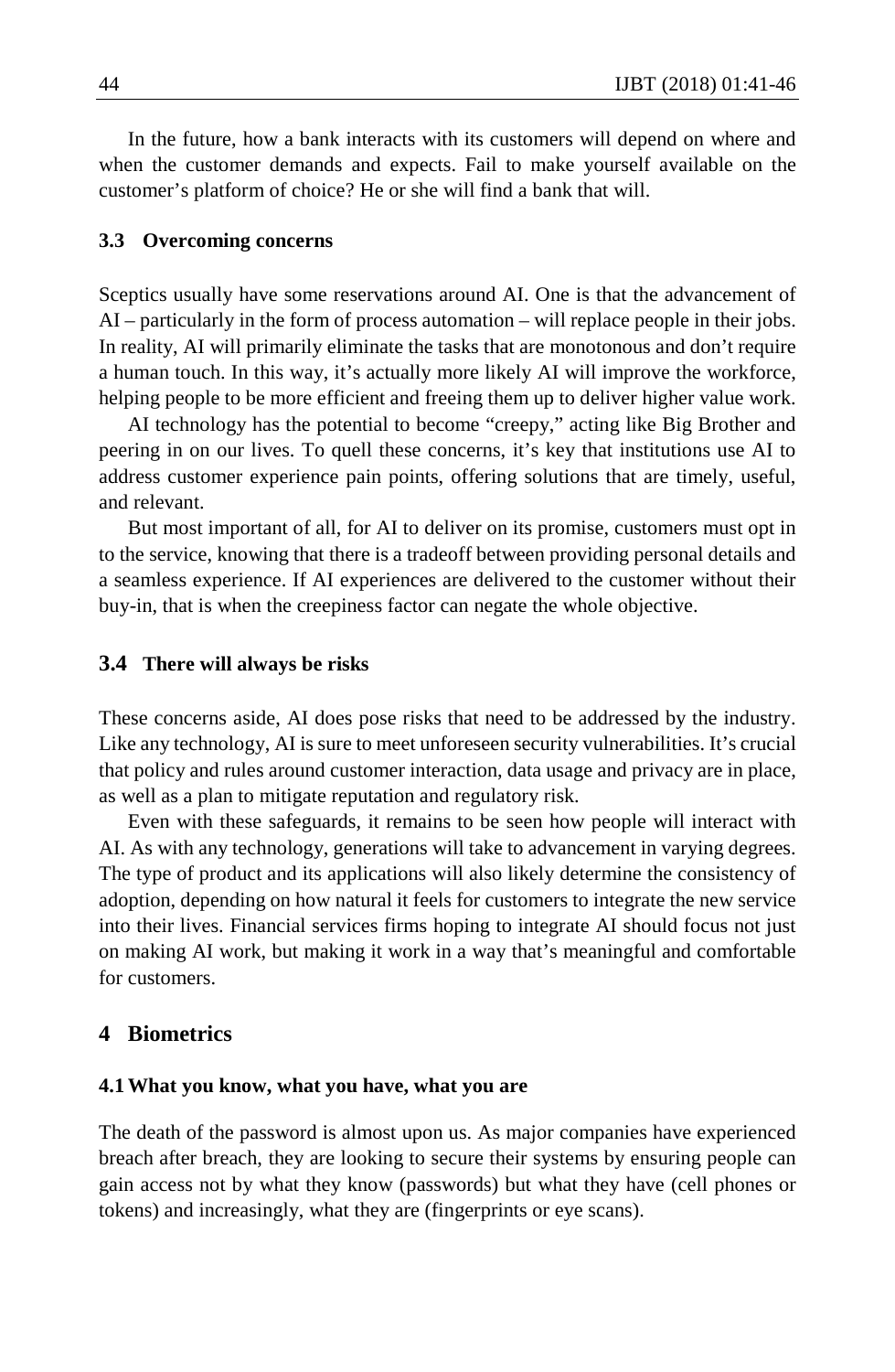In the future, how a bank interacts with its customers will depend on where and when the customer demands and expects. Fail to make yourself available on the customer's platform of choice? He or she will find a bank that will.

#### **3.3 Overcoming concerns**

Sceptics usually have some reservations around AI. One is that the advancement of AI – particularly in the form of process automation – will replace people in their jobs. In reality, AI will primarily eliminate the tasks that are monotonous and don't require a human touch. In this way, it's actually more likely AI will improve the workforce, helping people to be more efficient and freeing them up to deliver higher value work.

AI technology has the potential to become "creepy," acting like Big Brother and peering in on our lives. To quell these concerns, it's key that institutions use AI to address customer experience pain points, offering solutions that are timely, useful, and relevant.

But most important of all, for AI to deliver on its promise, customers must opt in to the service, knowing that there is a tradeoff between providing personal details and a seamless experience. If AI experiences are delivered to the customer without their buy-in, that is when the creepiness factor can negate the whole objective.

#### **3.4 There will always be risks**

These concerns aside, AI does pose risks that need to be addressed by the industry. Like any technology, AI is sure to meet unforeseen security vulnerabilities. It's crucial that policy and rules around customer interaction, data usage and privacy are in place, as well as a plan to mitigate reputation and regulatory risk.

Even with these safeguards, it remains to be seen how people will interact with AI. As with any technology, generations will take to advancement in varying degrees. The type of product and its applications will also likely determine the consistency of adoption, depending on how natural it feels for customers to integrate the new service into their lives. Financial services firms hoping to integrate AI should focus not just on making AI work, but making it work in a way that's meaningful and comfortable for customers.

## **4 Biometrics**

#### **4.1What you know, what you have, what you are**

The death of the password is almost upon us. As major companies have experienced breach after breach, they are looking to secure their systems by ensuring people can gain access not by what they know (passwords) but what they have (cell phones or tokens) and increasingly, what they are (fingerprints or eye scans).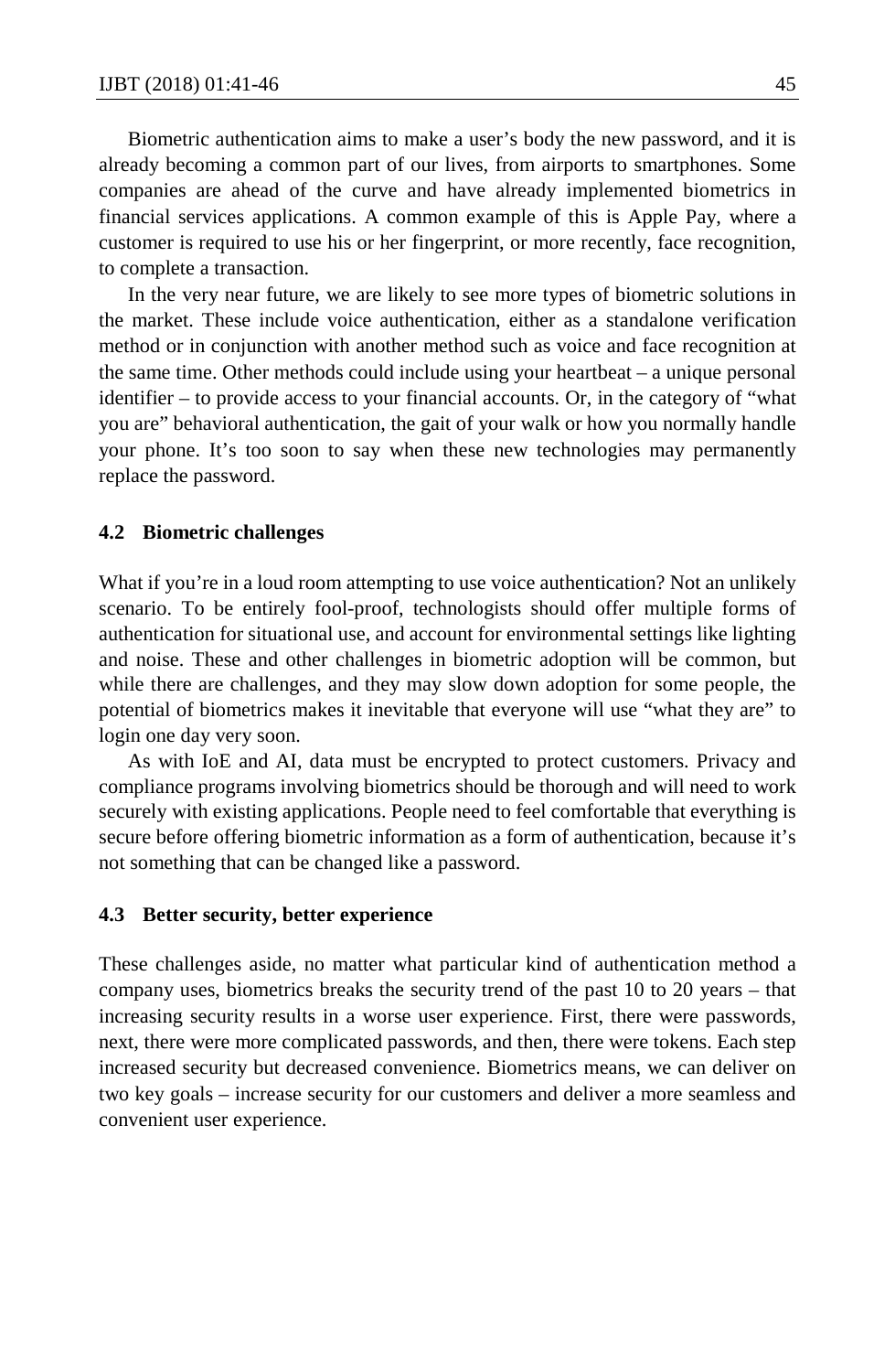Biometric authentication aims to make a user's body the new password, and it is already becoming a common part of our lives, from airports to smartphones. Some companies are ahead of the curve and have already implemented biometrics in financial services applications. A common example of this is Apple Pay, where a customer is required to use his or her fingerprint, or more recently, face recognition, to complete a transaction.

In the very near future, we are likely to see more types of biometric solutions in the market. These include voice authentication, either as a standalone verification method or in conjunction with another method such as voice and face recognition at the same time. Other methods could include using your heartbeat – a unique personal identifier – to provide access to your financial accounts. Or, in the category of "what you are" behavioral authentication, the gait of your walk or how you normally handle your phone. It's too soon to say when these new technologies may permanently replace the password.

#### **4.2 Biometric challenges**

What if you're in a loud room attempting to use voice authentication? Not an unlikely scenario. To be entirely fool-proof, technologists should offer multiple forms of authentication for situational use, and account for environmental settings like lighting and noise. These and other challenges in biometric adoption will be common, but while there are challenges, and they may slow down adoption for some people, the potential of biometrics makes it inevitable that everyone will use "what they are" to login one day very soon.

As with IoE and AI, data must be encrypted to protect customers. Privacy and compliance programs involving biometrics should be thorough and will need to work securely with existing applications. People need to feel comfortable that everything is secure before offering biometric information as a form of authentication, because it's not something that can be changed like a password.

#### **4.3 Better security, better experience**

These challenges aside, no matter what particular kind of authentication method a company uses, biometrics breaks the security trend of the past 10 to 20 years – that increasing security results in a worse user experience. First, there were passwords, next, there were more complicated passwords, and then, there were tokens. Each step increased security but decreased convenience. Biometrics means, we can deliver on two key goals – increase security for our customers and deliver a more seamless and convenient user experience.